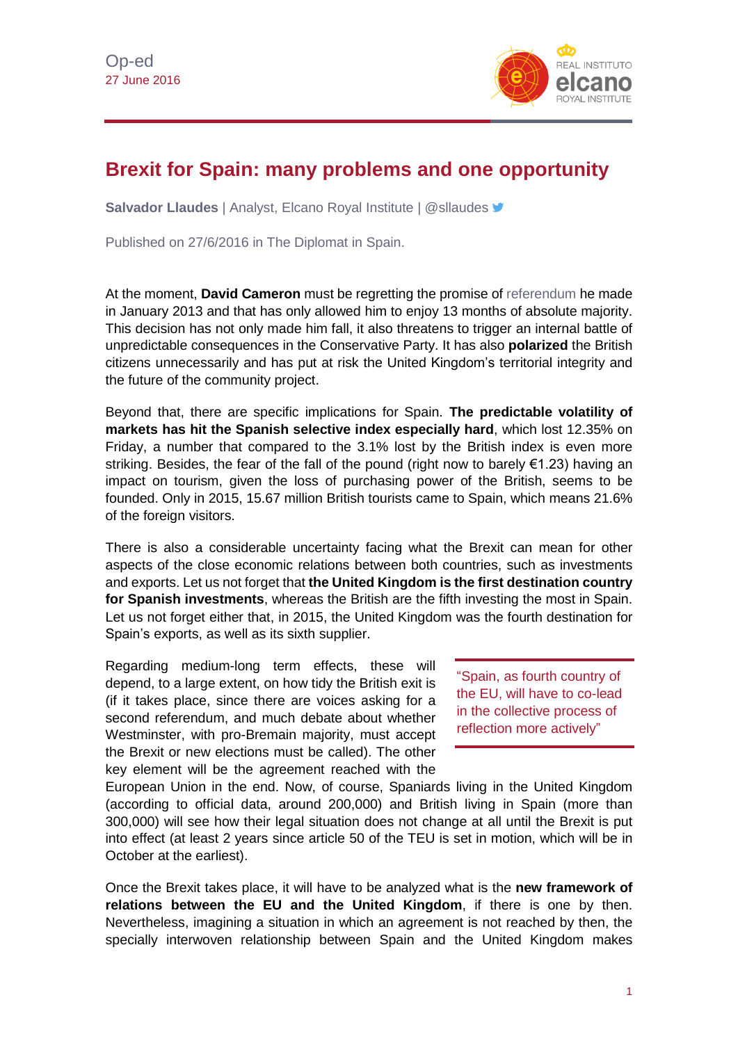

## **Brexit for Spain: many problems and one opportunity**

**Salvador Llaudes** | Analyst, Elcano Royal Institute | @sllaudes

Published on 27/6/2016 in The Diplomat in Spain.

At the moment, **David Cameron** must be regretting the promise of [referendum](http://www.realinstitutoelcano.org/especiales/brexit/) he made in January 2013 and that has only allowed him to enjoy 13 months of absolute majority. This decision has not only made him fall, it also threatens to trigger an internal battle of unpredictable consequences in the Conservative Party. It has also **polarized** the British citizens unnecessarily and has put at risk the United Kingdom's territorial integrity and the future of the community project.

Beyond that, there are specific implications for Spain. **The predictable volatility of markets has hit the Spanish selective index especially hard**, which lost 12.35% on Friday, a number that compared to the 3.1% lost by the British index is even more striking. Besides, the fear of the fall of the pound (right now to barely €1.23) having an impact on tourism, given the loss of purchasing power of the British, seems to be founded. Only in 2015, 15.67 million British tourists came to Spain, which means 21.6% of the foreign visitors.

There is also a considerable uncertainty facing what the Brexit can mean for other aspects of the close economic relations between both countries, such as investments and exports. Let us not forget that **the United Kingdom is the first destination country for Spanish investments**, whereas the British are the fifth investing the most in Spain. Let us not forget either that, in 2015, the United Kingdom was the fourth destination for Spain's exports, as well as its sixth supplier.

Regarding medium-long term effects, these will depend, to a large extent, on how tidy the British exit is (if it takes place, since there are voices asking for a second referendum, and much debate about whether Westminster, with pro-Bremain majority, must accept the Brexit or new elections must be called). The other key element will be the agreement reached with the

"Spain, as fourth country of the EU, will have to co-lead in the collective process of reflection more actively"

European Union in the end. Now, of course, Spaniards living in the United Kingdom (according to official data, around 200,000) and British living in Spain (more than 300,000) will see how their legal situation does not change at all until the Brexit is put into effect (at least 2 years since article 50 of the TEU is set in motion, which will be in October at the earliest).

Once the Brexit takes place, it will have to be analyzed what is the **new framework of relations between the EU and the United Kingdom**, if there is one by then. Nevertheless, imagining a situation in which an agreement is not reached by then, the specially interwoven relationship between Spain and the United Kingdom makes